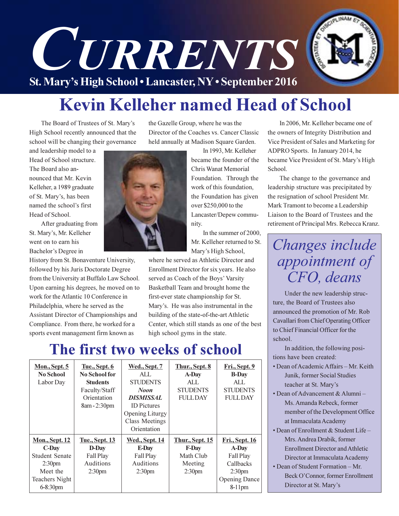

# **Kevin Kelleher named Head of School**

The Board of Trustees of St. Mary's High School recently announced that the school will be changing their governance

and leadership model to a Head of School structure. The Board also announced that Mr. Kevin Kelleher, a 1989 graduate of St. Mary's, has been named the school's first Head of School.

After graduating from St. Mary's, Mr. Kelleher went on to earn his Bachelor's Degree in

History from St. Bonaventure University, followed by his Juris Doctorate Degree from the University at Buffalo Law School. Upon earning his degrees, he moved on to work for the Atlantic 10 Conference in Philadelphia, where he served as the Assistant Director of Championships and Compliance. From there, he worked for a sports event management firm known as



the Gazelle Group, where he was the Director of the Coaches vs. Cancer Classic held annually at Madison Square Garden.

> In 1993, Mr. Kelleher became the founder of the Chris Wanat Memorial Foundation. Through the work of this foundation, the Foundation has given over \$250,000 to the Lancaster/Depew community.

In the summer of 2000. Mr. Kelleher returned to St. Mary's High School,

where he served as Athletic Director and Enrollment Director for six years. He also served as Coach of the Boys' Varsity Basketball Team and brought home the first-ever state championship for St. Mary's. He was also instrumental in the building of the state-of-the-art Athletic Center, which still stands as one of the best high school gyms in the state.

## The first two weeks of school

| Mon., Sept. 5<br><b>No School</b><br>Labor Day                                                                                 | <b>Tue., Sept. 6</b><br><b>No School for</b><br><b>Students</b><br>Faculty/Staff<br>Orientation<br>8am - 2:30pm | <b>Wed., Sept. 7</b><br>AI.<br><b>STUDENTS</b><br><b>Noon</b><br><b>DISMISSAL</b><br><b>ID</b> Pictures<br>Opening Liturgy<br><b>Class Meetings</b><br>Orientation | Thur., Sept. 8<br>A-Day<br>AI.<br><b>STUDENTS</b><br><b>FULLDAY</b>                  | Fri., Sept. 9<br><b>B-Day</b><br>ALL.<br><b>STUDENTS</b><br><b>FULLDAY</b>                                                 |
|--------------------------------------------------------------------------------------------------------------------------------|-----------------------------------------------------------------------------------------------------------------|--------------------------------------------------------------------------------------------------------------------------------------------------------------------|--------------------------------------------------------------------------------------|----------------------------------------------------------------------------------------------------------------------------|
| <b>Mon., Sept. 12</b><br>C-Day<br><b>Student Senate</b><br>2:30 <sub>pm</sub><br>Meet the<br><b>Teachers Night</b><br>6-8:30pm | <u>Tue., Sept. 13</u><br>D-Day<br>Fall Play<br>Auditions<br>2:30 <sub>pm</sub>                                  | <u> Wed., Sept. 14</u><br><b>E-Day</b><br>Fall Play<br>Auditions<br>2:30 <sub>pm</sub>                                                                             | <b>Thur., Sept. 15</b><br><b>F-Day</b><br>Math Club<br>Meeting<br>2:30 <sub>pm</sub> | <b>Fri., Sept. 16</b><br>A-Day<br><b>Fall Play</b><br>Callbacks<br>2:30 <sub>pm</sub><br><b>Opening Dance</b><br>$8-11$ pm |

In 2006, Mr. Kelleher became one of the owners of Integrity Distribution and Vice President of Sales and Marketing for ADPRO Sports. In January 2014, he became Vice President of St. Mary's High School.

The change to the governance and leadership structure was precipitated by the resignation of school President Mr. Mark Tramont to become a Leadership Liaison to the Board of Trustees and the retirement of Principal Mrs. Rebecca Kranz.

Changes include appointment of CFO, deans

Under the new leadership structure, the Board of Trustees also announced the promotion of Mr. Rob Cavallari from Chief Operating Officer to Chief Financial Officer for the school.

In addition, the following positions have been created:

- · Dean of Academic Affairs Mr. Keith Junik, former Social Studies teacher at St. Mary's
- Dean of Advancement & Alumni -Ms. Amanda Rebeck, former member of the Development Office at Immaculata Academy
- Dean of Enrollment & Student Life -Mrs. Andrea Drabik, former **Enrollment Director and Athletic** Director at Immaculata Academy
- Dean of Student Formation Mr. Beck O'Connor, former Enrollment Director at St. Mary's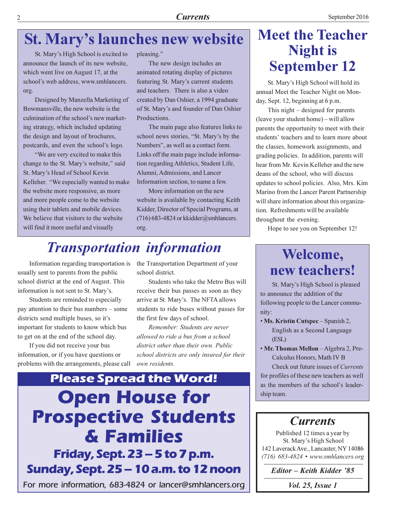# St. Mary's launches new website

St. Mary's High School is excited to announce the launch of its new website, which went live on August 17, at the school's web address, www.smhlancers. org.

Designed by Manzella Marketing of Bowmansville, the new website is the culmination of the school's new marketing strategy, which included updating the design and layout of brochures, postcards, and even the school's logo.

"We are very excited to make this change to the St. Mary's website," said St. Mary's Head of School Kevin Kelleher. "We especially wanted to make the website more responsive, as more and more people come to the website using their tablets and mobile devices. We believe that visitors to the website will find it more useful and visually

pleasing."

The new design includes an animated rotating display of pictures featuring St. Mary's current students and teachers. There is also a video created by Dan Oshier, a 1994 graduate of St. Mary's and founder of Dan Oshier Productions.

The main page also features links to school news stories, "St. Mary's by the Numbers", as well as a contact form. Links off the main page include information regarding Athletics, Student Life, Alumni, Admissions, and Lancer Information section, to name a few.

More information on the new website is available by contacting Keith Kidder, Director of Special Programs, at  $(716)$  683-4824 or kkidder@smhlancers. org.

### **Transportation information**

Information regarding transportation is usually sent to parents from the public school district at the end of August. This information is not sent to St. Mary's.

Students are reminded to especially pay attention to their bus numbers – some districts send multiple buses, so it's important for students to know which bus to get on at the end of the school day.

If you did not receive your bus information, or if you have questions or problems with the arrangements, please call

the Transportation Department of your school district.

Students who take the Metro Bus will receive their bus passes as soon as they arrive at St. Mary's. The NFTA allows students to ride buses without passes for the first few days of school.

Remember: Students are never allowed to ride a bus from a school district other than their own. Public school districts are only insured for their own residents.

## **Please Spread the Word! Open House for Prospective Students** & Families Friday, Sept. 23 – 5 to 7 p.m. Sunday, Sept. 25 – 10 a.m. to 12 noon For more information, 683-4824 or lancer@smhlancers.org

### **Meet the Teacher Night is September 12**

St. Mary's High School will hold its annual Meet the Teacher Night on Monday, Sept. 12, beginning at 6 p.m.

This night  $-$  designed for parents (leave your student home) – will allow parents the opportunity to meet with their students' teachers and to learn more about the classes, homework assignments, and grading policies. In addition, parents will hear from Mr. Kevin Kelleher and the new deans of the school, who will discuss updates to school policies. Also, Mrs. Kim Marino from the Lancer Parent Partnership will share information about this organization. Refreshments will be available throughout the evening.

Hope to see you on September 12!

### Welcome, new teachers!

St. Mary's High School is pleased to announce the addition of the following people to the Lancer community:

- Ms. Kristin Cutspec Spanish 2, English as a Second Language (ESL)
- Mr. Thomas Mellon Algebra 2, Pre-Calculus Honors, Math IV B

Check out future issues of Currents for profiles of these new teachers as well as the members of the school's leadership team.

### **Currents**

Published 12 times a year by St. Mary's High School 142 Laverack Ave., Lancaster, NY 14086  $(716)$  683-4824 • www.smhlancers.org

Editor - Keith Kidder '85

*Vol. 25, Issue 1*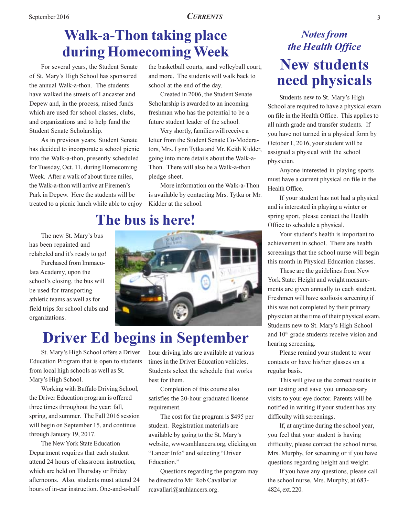## **Walk-a-Thon taking place** during Homecoming Week

For several years, the Student Senate of St. Mary's High School has sponsored the annual Walk-a-thon. The students have walked the streets of Lancaster and Depew and, in the process, raised funds which are used for school classes, clubs, and organizations and to help fund the Student Senate Scholarship.

As in previous years, Student Senate has decided to incorporate a school picnic into the Walk-a-thon, presently scheduled for Tuesday, Oct. 11, during Homecoming Week. After a walk of about three miles, the Walk-a-thon will arrive at Firemen's Park in Depew. Here the students will be treated to a picnic lunch while able to enjoy the basketball courts, sand volleyball court, and more. The students will walk back to school at the end of the day.

Created in 2006, the Student Senate Scholarship is awarded to an incoming freshman who has the potential to be a future student leader of the school.

Very shortly, families will receive a letter from the Student Senate Co-Moderators, Mrs. Lynn Tytka and Mr. Keith Kidder, going into more details about the Walk-a-Thon. There will also be a Walk-a-thon pledge sheet.

More information on the Walk-a-Thon is available by contacting Mrs. Tytka or Mr. Kidder at the school.

### The bus is here!

The new St. Mary's bus has been repainted and relabeled and it's ready to go!

Purchased from Immaculata Academy, upon the school's closing, the bus will be used for transporting athletic teams as well as for field trips for school clubs and organizations.



# **Driver Ed begins in September**

St. Mary's High School offers a Driver Education Program that is open to students from local high schools as well as St. Mary's High School.

Working with Buffalo Driving School, the Driver Education program is offered three times throughout the year: fall, spring, and summer. The Fall 2016 session will begin on September 15, and continue through January 19, 2017.

The New York State Education Department requires that each student attend 24 hours of classroom instruction, which are held on Thursday or Friday afternoons. Also, students must attend 24 hours of in-car instruction One-and-a-half

hour driving labs are available at various times in the Driver Education vehicles. Students select the schedule that works best for them.

Completion of this course also satisfies the 20-hour graduated license requirement.

The cost for the program is \$495 per student. Registration materials are available by going to the St. Mary's website, www.smhlancers.org, clicking on "Lancer Info" and selecting "Driver Education."

Questions regarding the program may be directed to Mr. Rob Cavallari at rcavallari@smhlancers.org.

### **Notes from** the Health Office **New students** need physicals

Students new to St. Mary's High School are required to have a physical exam on file in the Health Office. This applies to all ninth grade and transfer students. If you have not turned in a physical form by October 1, 2016, your student will be assigned a physical with the school physician.

Anyone interested in playing sports must have a current physical on file in the Health Office.

If your student has not had a physical and is interested in playing a winter or spring sport, please contact the Health Office to schedule a physical.

Your student's health is important to achievement in school. There are health screenings that the school nurse will begin this month in Physical Education classes.

These are the guidelines from New York State: Height and weight measurements are given annually to each student. Freshmen will have scoliosis screening if this was not completed by their primary physician at the time of their physical exam. Students new to St. Mary's High School and 10<sup>th</sup> grade students receive vision and hearing screening.

Please remind your student to wear contacts or have his/her glasses on a regular basis.

This will give us the correct results in our testing and save you unnecessary visits to your eye doctor. Parents will be notified in writing if your student has any difficulty with screenings.

If, at anytime during the school year, you feel that your student is having difficulty, please contact the school nurse, Mrs. Murphy, for screening or if you have questions regarding height and weight.

If you have any questions, please call the school nurse, Mrs. Murphy, at 683-4824, ext. 220.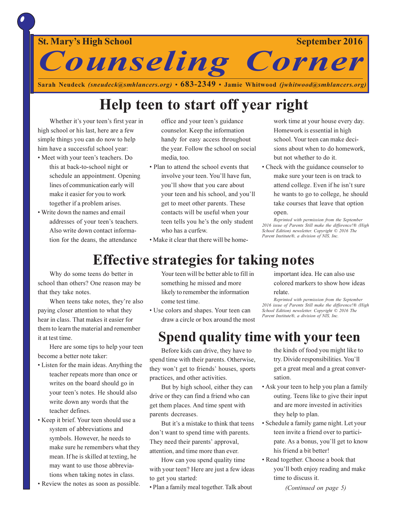**St. Mary's High School** 

**September 2016** 

**Counseling Corner** 

Sarah Neudeck (sneudeck@smhlancers.org) • 683-2349 • Jamie Whitwood (jwhitwood@smhlancers.org)

## Help teen to start off year right

Whether it's your teen's first year in high school or his last, here are a few simple things you can do now to help him have a successful school year:

- Meet with your teen's teachers. Do this at back-to-school night or schedule an appointment. Opening lines of communication early will make it easier for you to work together if a problem arises.
- Write down the names and email addresses of your teen's teachers. Also write down contact information for the deans, the attendance
- office and your teen's guidance counselor. Keep the information handy for easy access throughout the year. Follow the school on social media, too.
- Plan to attend the school events that involve your teen. You'll have fun, you'll show that you care about your teen and his school, and you'll get to meet other parents. These contacts will be useful when your teen tells you he's the only student who has a curfew.
- Make it clear that there will be home-

#### work time at your house every day. Homework is essential in high school. Your teen can make decisions about when to do homework. but not whether to do it.

• Check with the guidance counselor to make sure your teen is on track to attend college. Even if he isn't sure he wants to go to college, he should take courses that leave that option open.

Reprinted with permission from the September 2016 issue of Parents Still make the difference!® (High School Edition) newsletter. Copyright © 2016 The Parent Institute®, a division of NIS, Inc.

### **Effective strategies for taking notes**

Why do some teens do better in school than others? One reason may be that they take notes.

When teens take notes, they're also paying closer attention to what they hear in class. That makes it easier for them to learn the material and remember it at test time.

Here are some tips to help your teen become a better note taker:

- Listen for the main ideas. Anything the teacher repeats more than once or writes on the board should go in your teen's notes. He should also write down any words that the teacher defines.
- Keep it brief. Your teen should use a system of abbreviations and symbols. However, he needs to make sure he remembers what they mean. If he is skilled at texting, he may want to use those abbreviations when taking notes in class.
- Review the notes as soon as possible.

Your teen will be better able to fill in something he missed and more likely to remember the information come test time.

• Use colors and shapes. Your teen can draw a circle or box around the most

**Spend quality time with your teen** 

Before kids can drive, they have to spend time with their parents. Otherwise, they won't get to friends' houses, sports practices, and other activities.

But by high school, either they can drive or they can find a friend who can get them places. And time spent with parents decreases.

But it's a mistake to think that teens don't want to spend time with parents. They need their parents' approval, attention, and time more than ever.

How can you spend quality time with your teen? Here are just a few ideas to get you started:

• Plan a family meal together. Talk about

important idea. He can also use colored markers to show how ideas relate

Reprinted with permission from the September 2016 issue of Parents Still make the difference!® (High School Edition) newsletter. Copyright © 2016 The Parent Institute®, a division of NIS, Inc.

the kinds of food you might like to try. Divide responsibilities. You'll get a great meal and a great conversation.

- Ask your teen to help you plan a family outing. Teens like to give their input and are more invested in activities they help to plan.
- Schedule a family game night. Let your teen invite a friend over to participate. As a bonus, you'll get to know his friend a bit better!
- Read together. Choose a book that you'll both enjoy reading and make time to discuss it.

(Continued on page 5)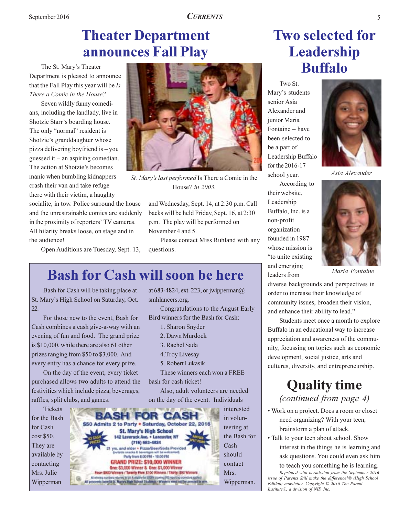## **Theater Department** announces Fall Play

The St. Mary's Theater Department is pleased to announce that the Fall Play this year will be Is There a Comic in the House?

Seven wildly funny comedians, including the landlady, live in Shotzie Starr's boarding house. The only "normal" resident is Shotzie's granddaughter whose pizza delivering boyfriend is - you guessed it  $-$  an aspiring comedian. The action at Shotzie's becomes manic when bumbling kidnappers crash their van and take refuge there with their victim, a haughty

socialite, in tow. Police surround the house and the unrestrainable comics are suddenly in the proximity of reporters' TV cameras. All hilarity breaks loose, on stage and in the audience!

Open Auditions are Tuesday, Sept. 13,



St. Mary's last performed Is There a Comic in the House? in 2003.

and Wednesday, Sept. 14, at 2:30 p.m. Call backs will be held Friday, Sept. 16, at 2:30 p.m. The play will be performed on November 4 and 5

Please contact Miss Ruhland with any questions.

at 683-4824, ext. 223, or jwipperman $@$ 

Bird winners for the Bash for Cash:

1. Sharon Snyder

2. Dawn Murdock

3. Rachel Sada

4. Troy Livesay

bash for cash ticket!

5. Robert Lukasik

Congratulations to the August Early

These winners each won a FREE

Also, adult volunteers are needed

### **Bash for Cash will soon be here**

smhlancers.org.

Bash for Cash will be taking place at St. Mary's High School on Saturday, Oct.  $22.$ 

For those new to the event, Bash for Cash combines a cash give-a-way with an evening of fun and food. The grand prize is \$10,000, while there are also 61 other prizes ranging from \$50 to \$3,000. And every entry has a chance for every prize.

On the day of the event, every ticket purchased allows two adults to attend the festivities which include pizza, beverages, raffles, split clubs, and games.

**Tickets** for the Bash for Cash cost \$50. They are available by contacting Mrs. Julie Wipperman



## **Two selected for Leadership Buffalo**

Two St. Mary's students senior Asia Alexander and iunior Maria Fontaine - have been selected to be a part of Leadership Buffalo for the 2016-17 school year.

According to their website. Leadership Buffalo, Inc. is a non-profit organization founded in 1987 whose mission is "to unite existing" and emerging leaders from



Asia Alexander



Maria Fontaine

diverse backgrounds and perspectives in order to increase their knowledge of community issues, broaden their vision, and enhance their ability to lead."

Students meet once a month to explore Buffalo in an educational way to increase appreciation and awareness of the community, focussing on topics such as economic development, social justice, arts and cultures, diversity, and entrepreneurship.

### **Quality time** (continued from page 4)

- Work on a project. Does a room or closet need organizing? With your teen, brainstorm a plan of attack.
- Talk to your teen about school. Show interest in the things he is learning and ask questions. You could even ask him to teach you something he is learning.

Reprinted with permission from the September 2016 issue of Parents Still make the difference!® (High School Edition) newsletter. Copyright © 2016 The Parent Institute®, a division of NIS, Inc.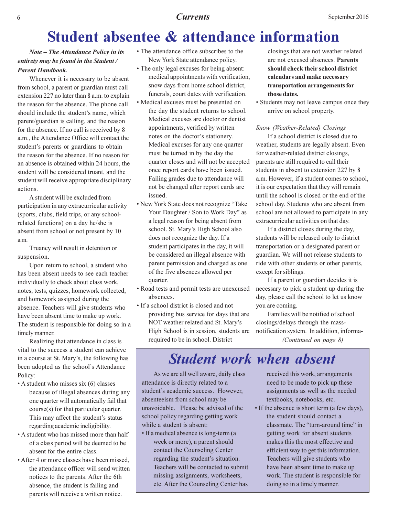### **Student absentee & attendance information**

#### **Note – The Attendance Policy in its** entirety may be found in the Student / **Parent Handbook.**

Whenever it is necessary to be absent from school, a parent or guardian must call extension 227 no later than 8 a.m. to explain the reason for the absence. The phone call should include the student's name, which parent/guardian is calling, and the reason for the absence. If no call is received by 8 a.m., the Attendance Office will contact the student's parents or guardians to obtain the reason for the absence. If no reason for an absence is obtained within 24 hours, the student will be considered truant, and the student will receive appropriate disciplinary actions.

A student will be excluded from participation in any extracurricular activity (sports, clubs, field trips, or any schoolrelated functions) on a day he/she is absent from school or not present by 10 a.m.

Truancy will result in detention or suspension.

Upon return to school, a student who has been absent needs to see each teacher individually to check about class work. notes, tests, quizzes, homework collected, and homework assigned during the absence. Teachers will give students who have been absent time to make up work. The student is responsible for doing so in a timely manner.

Realizing that attendance in class is vital to the success a student can achieve in a course at St. Mary's, the following has been adopted as the school's Attendance Policy:

- A student who misses six (6) classes because of illegal absences during any one quarter will automatically fail that course(s) for that particular quarter. This may affect the student's status regarding academic ineligibility.
- A student who has missed more than half of a class period will be deemed to be absent for the entire class.
- After 4 or more classes have been missed. the attendance officer will send written notices to the parents. After the 6th absence, the student is failing and parents will receive a written notice.
- The attendance office subscribes to the New York State attendance policy.
- The only legal excuses for being absent: medical appointments with verification, snow days from home school district, funerals, court dates with verification.
- Medical excuses must be presented on the day the student returns to school. Medical excuses are doctor or dentist appointments, verified by written notes on the doctor's stationery. Medical excuses for any one quarter must be turned in by the day the quarter closes and will not be accepted once report cards have been issued. Failing grades due to attendance will not be changed after report cards are issued
- New York State does not recognize "Take Your Daughter / Son to Work Day" as a legal reason for being absent from school. St. Mary's High School also does not recognize the day. If a student participates in the day, it will be considered an illegal absence with parent permission and charged as one of the five absences allowed per quarter.
- Road tests and permit tests are unexcused absences.
- If a school district is closed and not providing bus service for days that are NOT weather related and St. Mary's High School is in session, students are required to be in school. District

closings that are not weather related are not excused absences. Parents should check their school district calendars and make necessary transportation arrangements for those dates.

• Students may not leave campus once they arrive on school property.

#### Snow (Weather-Related) Closings

If a school district is closed due to weather, students are legally absent. Even for weather-related district closings, parents are still required to call their students in absent to extension 227 by 8 a.m. However, if a student comes to school, it is our expectation that they will remain until the school is closed or the end of the school day. Students who are absent from school are not allowed to participate in any extracurricular activities on that day.

If a district closes during the day, students will be released only to district transportation or a designated parent or guardian. We will not release students to ride with other students or other parents. except for siblings.

If a parent or guardian decides it is necessary to pick a student up during the day, please call the school to let us know you are coming.

Families will be notified of school closings/delays through the massnotification system. In addition, informa-(Continued on page 8)

### **Student work when absent**

As we are all well aware, daily class attendance is directly related to a student's academic success. However, absenteeism from school may be unavoidable. Please be advised of the school policy regarding getting work while a student is absent:

· If a medical absence is long-term (a week or more), a parent should contact the Counseling Center regarding the student's situation. Teachers will be contacted to submit missing assignments, worksheets, etc. After the Counseling Center has

received this work, arrangements need to be made to pick up these assignments as well as the needed textbooks, notebooks, etc.

• If the absence is short term (a few days), the student should contact a classmate. The "turn-around time" in getting work for absent students makes this the most effective and efficient way to get this information. Teachers will give students who have been absent time to make up work. The student is responsible for doing so in a timely manner.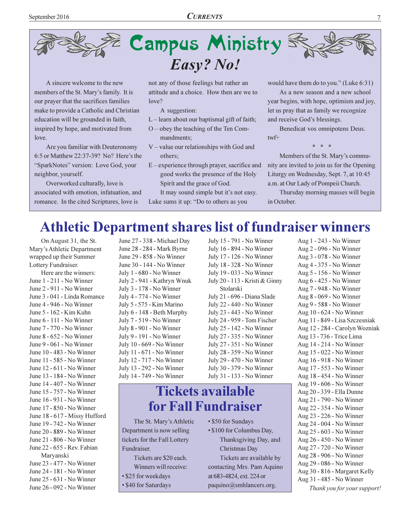



A sincere welcome to the new members of the St. Mary's family. It is our prayer that the sacrifices families make to provide a Catholic and Christian education will be grounded in faith, inspired by hope, and motivated from love.

Are you familiar with Deuteronomy 6:5 or Matthew 22:37-39? No? Here's the "SparkNotes" version: Love God, your neighbor, yourself.

Overworked culturally, love is associated with emotion, infatuation, and romance. In the cited Scriptures, love is

not any of those feelings but rather an attitude and a choice. How then are we to love?

- A suggestion:
- L learn about our baptismal gift of faith;
- $O$  obey the teaching of the Ten Commandments:
- V value our relationships with God and others:
- $E$  experience through prayer, sacrifice and good works the presence of the Holy Spirit and the grace of God.

It may sound simple but it's not easy.

Luke sums it up: "Do to others as you

would have them do to you." (Luke 6:31)

As a new season and a new school year begins, with hope, optimism and joy, let us pray that as family we recognize and receive God's blessings.

Benedicat vos omnipotens Deus.  $twf+$ 

 $* * *$ 

Members of the St. Mary's community are invited to join us for the Opening Liturgy on Wednesday, Sept. 7, at 10:45 a.m. at Our Lady of Pompeii Church.

Thursday morning masses will begin in October.

### **Athletic Department shares list of fundraiser winners**

On August 31, the St. Mary's Athletic Department wrapped up their Summer Lottery Fundraiser.

Here are the winners: June 1 - 211 - No Winner June 2 - 911 - No Winner June 3 - 041 - Linda Romance June 4 - 946 - No Winner June 5 - 162 - Kim Kuhn June 6 - 111 - No Winner June 7 - 770 - No Winner June 8 - 652 - No Winner June 9 - 061 - No Winner June 10 - 483 - No Winner June 11 - 585 - No Winner June 12 - 611 - No Winner June 13 - 184 - No Winner June 14 - 407 - No Winner June 15 - 757 - No Winner June 16 - 931 - No Winner June 17 - 850 - No Winner June 18 - 617 - Missy Hufford June 19 - 742 - No Winner June 20 - 889 - No Winner June 21 - 806 - No Winner June 22 - 655 - Rev. Fabian Maryanski June 23 - 477 - No Winner June 24 - 181 - No Winner June 25 - 631 - No Winner June 26 - 092 - No Winner

June 27 - 338 - Michael Day June 28 - 284 - Mark Byrne June 29 - 858 - No Winner June 30 - 144 - No Winner July 1 - 680 - No Winner July 2 - 941 - Kathryn Wnuk July 3 - 178 - No Winner July 4 - 774 - No Winner July 5 - 575 - Kim Marino July 6 - 148 - Beth Murphy July 7 - 519 - No Winner July 8 - 901 - No Winner July 9 - 191 - No Winner July 10 - 669 - No Winner July 11 - 671 - No Winner July 12 - 717 - No Winner July 13 - 292 - No Winner July 14 - 749 - No Winner

July 15 - 791 - No Winner July 16 - 894 - No Winner July 17 - 126 - No Winner July 18 - 328 - No Winner July 19 - 033 - No Winner July 20 - 113 - Kristi & Ginny **Stolarski** July 21 - 696 - Diana Slade July 22 - 440 - No Winner July 23 - 443 - No Winner July 24 - 959 - Tom Fischer July 25 - 142 - No Winner July 27 - 335 - No Winner July 27 - 351 - No Winner July 28 - 359 - No Winner July 29 - 470 - No Winner July 30 - 379 - No Winner July 31 - 133 - No Winner

### **Tickets available** for Fall Fundraiser

The St. Mary's Athletic Department is now selling tickets for the Fall Lottery Fundraiser.

> Tickets are \$20 each. Winners will receive:

- \$25 for weekdays
- \$40 for Saturdays
- \$50 for Sundays
- \$100 for Columbus Day, Thanksgiving Day, and Christmas Day Tickets are available by

contacting Mrs. Pam Aquino at 683-4824, ext. 224 or paquino@smhlancers.org.

Aug 1 - 243 - No Winner Aug 2 - 096 - No Winner Aug 3 - 078 - No Winner Aug 4 - 375 - No Winner Aug 5 - 156 - No Winner Aug 6 - 425 - No Winner Aug 7 - 948 - No Winner Aug 8 - 069 - No Winner Aug 9 - 588 - No Winner Aug 10 - 624 - No Winner Aug 11 - 849 - Lisa Szczesniak Aug 12 - 284 - Carolyn Wozniak Aug 13 - 736 - Trice Lima Aug 14 - 214 - No Winner Aug 15 - 022 - No Winner Aug 16 - 918 - No Winner Aug 17 - 553 - No Winner Aug 18 - 454 - No Winner Aug 19 - 606 - No Winner Aug 20 - 339 - Ella Dunne Aug 21 - 790 - No Winner Aug 22 - 354 - No Winner Aug 23 - 226 - No Winner Aug 24 - 004 - No Winner Aug 25 - 603 - No Winner Aug 26 - 450 - No Winner Aug 27 - 720 - No Winner Aug 28 - 906 - No Winner Aug 29 - 086 - No Winner Aug 30 - 816 - Margaret Kelly Aug 31 - 485 - No Winner Thank you for your support!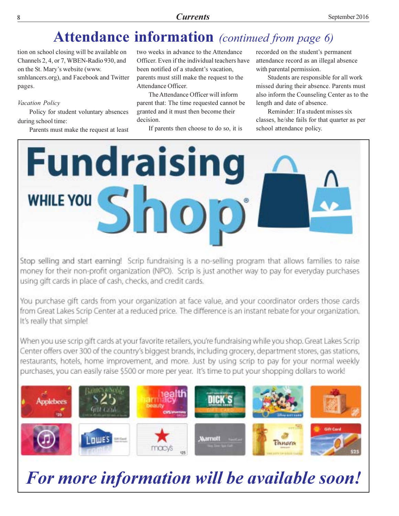## **Attendance information** (continued from page 6)

tion on school closing will be available on Channels 2, 4, or 7, WBEN-Radio 930, and on the St. Mary's website (www. smhlancers.org), and Facebook and Twitter pages.

#### Vacation Policy

Policy for student voluntary absences during school time:

Parents must make the request at least

two weeks in advance to the Attendance Officer. Even if the individual teachers have been notified of a student's vacation. parents must still make the request to the Attendance Officer.

The Attendance Officer will inform parent that: The time requested cannot be granted and it must then become their decision.

If parents then choose to do so, it is

recorded on the student's permanent attendance record as an illegal absence with parental permission.

Students are responsible for all work missed during their absence. Parents must also inform the Counseling Center as to the length and date of absence.

Reminder: If a student misses six classes, he/she fails for that quarter as per school attendance policy.



Stop selling and start earning! Scrip fundraising is a no-selling program that allows families to raise money for their non-profit organization (NPO). Scrip is just another way to pay for everyday purchases using gift cards in place of cash, checks, and credit cards.

You purchase gift cards from your organization at face value, and your coordinator orders those cards from Great Lakes Scrip Center at a reduced price. The difference is an instant rebate for your organization. It's really that simple!

When you use scrip gift cards at your favorite retailers, you're fundraising while you shop. Great Lakes Scrip Center offers over 300 of the country's biggest brands, including grocery, department stores, gas stations, restaurants, hotels, home improvement, and more. Just by using scrip to pay for your normal weekly purchases, you can easily raise \$500 or more per year. It's time to put your shopping dollars to work!



For more information will be available soon!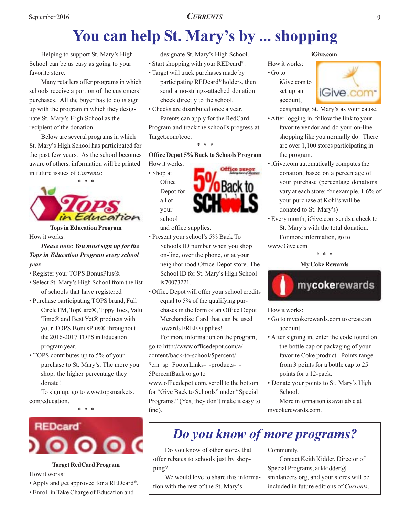# You can help St. Mary's by ... shopping

Helping to support St. Mary's High School can be as easy as going to your favorite store.

Many retailers offer programs in which schools receive a portion of the customers' purchases. All the buyer has to do is sign up with the program in which they designate St. Mary's High School as the recipient of the donation.

Below are several programs in which St. Mary's High School has participated for the past few years. As the school becomes aware of others, information will be printed in future issues of Currents:



**Tops in Education Program** How it works:

#### Please note: You must sign up for the **Tops in Education Program every school** vear.

- Register your TOPS BonusPlus®.
- Select St. Mary's High School from the list of schools that have registered
- Purchase participating TOPS brand, Full CircleTM, TopCare®, Tippy Toes, Valu Time® and Best Yet® products with your TOPS BonusPlus® throughout the 2016-2017 TOPS in Education program year.
- TOPS contributes up to 5% of your purchase to St. Mary's. The more you shop, the higher percentage they donate!

To sign up, go to www.topsmarkets. com/education.

 $* *$ 



#### **Target RedCard Program**

How it works:

- Apply and get approved for a REDcard®.
- Enroll in Take Charge of Education and

designate St. Mary's High School. • Start shopping with your REDcard®.

• Target will track purchases made by

participating REDcard® holders, then send a no-strings-attached donation check directly to the school.

• Checks are distributed once a year.

Parents can apply for the RedCard Program and track the school's progress at Target.com/tcoe.

#### **Office Depot 5% Back to Schools Program**

How it works: • Shop at Office Depot for all of vour school



and office supplies.

- Present your school's 5% Back To Schools ID number when you shop on-line, over the phone, or at your neighborhood Office Depot store. The School ID for St. Mary's High School is 70073221.
- · Office Depot will offer your school credits equal to 5% of the qualifying purchases in the form of an Office Depot Merchandise Card that can be used towards FREE supplies!

For more information on the program, go to http://www.officedepot.com/a/

content/back-to-school/5percent/

?cm\_sp=FooterLinks-\_-products-\_-5PercentBack or go to

www.officedepot.com, scroll to the bottom for "Give Back to Schools" under "Special Programs." (Yes, they don't make it easy to find).

#### iGive.com

How it works:  $\cdot$  Go to

iGive.com to set up an account.



designating St. Mary's as your cause.

- After logging in, follow the link to your favorite vendor and do your on-line shopping like you normally do. There are over 1,100 stores participating in the program.
- iGive.com automatically computes the donation, based on a percentage of your purchase (percentage donations vary at each store; for example, 1.6% of your purchase at Kohl's will be donated to St. Mary's)
- Every month, iGive.com sends a check to St. Mary's with the total donation.

For more information, go to www.iGive.com.





How it works:

- Go to mycokerewards.com to create an account.
- After signing in, enter the code found on the bottle cap or packaging of your favorite Coke product. Points range from 3 points for a bottle cap to 25 points for a 12-pack.
- Donate your points to St. Mary's High School.

More information is available at mycokerewards.com.

### Do you know of more programs?

Do you know of other stores that offer rebates to schools just by shopping?

We would love to share this information with the rest of the St. Mary's

Community.

Contact Keith Kidder, Director of Special Programs, at kkidder@ smhlancers.org, and your stores will be included in future editions of Currents.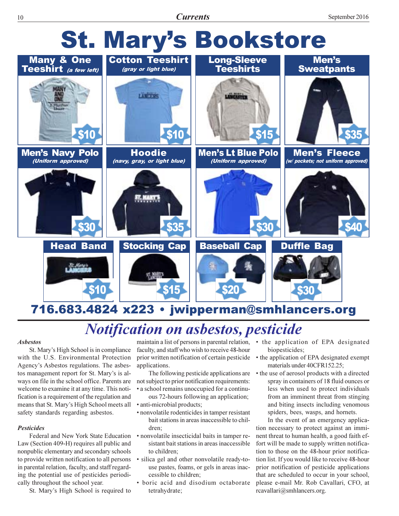

### 716.683.4824 x223 · jwipperman@smhlancers.org

# **Notification on asbestos, pesticide**

#### **Ashestos**

St. Mary's High School is in compliance with the U.S. Environmental Protection Agency's Asbestos regulations. The asbestos management report for St. Mary's is always on file in the school office. Parents are welcome to examine it at any time. This notification is a requirement of the regulation and means that St. Mary's High School meets all safety standards regarding asbestos.

#### **Pesticides**

Law (Section 409-H) requires all public and nonpublic elementary and secondary schools to provide written notification to all persons in parental relation, faculty, and staff regarding the potential use of pesticides periodically throughout the school year.

St. Mary's High School is required to

maintain a list of persons in parental relation,  $\cdot$  the application of EPA designated faculty, and staff who wish to receive 48-hour prior written notification of certain pesticide applications.

The following pesticide applications are not subject to prior notification requirements:

- a school remains unoccupied for a continuous 72-hours following an application;
- · anti-microbial products;
- nonvolatile rodenticides in tamper resistant bait stations in areas inaccessible to children<sup>.</sup>
- Federal and New York State Education nonvolatile insecticidal baits in tamper resistant bait stations in areas inaccessible to children:
	- · silica gel and other nonvolatile ready-touse pastes, foams, or gels in areas inaccessible to children:
	- boric acid and disodium octaborate tetrahydrate;
- biopesticides;
- the application of EPA designated exempt materials under 40CFR152.25;
- the use of aerosol products with a directed spray in containers of 18 fluid ounces or less when used to protect individuals from an imminent threat from stinging and biting insects including venomous spiders, bees, wasps, and hornets.

In the event of an emergency application necessary to protect against an imminent threat to human health, a good faith effort will be made to supply written notification to those on the 48-hour prior notification list. If you would like to receive 48-hour prior notification of pesticide applications that are scheduled to occur in your school, please e-mail Mr. Rob Cavallari, CFO, at rcavallari@smhlancers.org.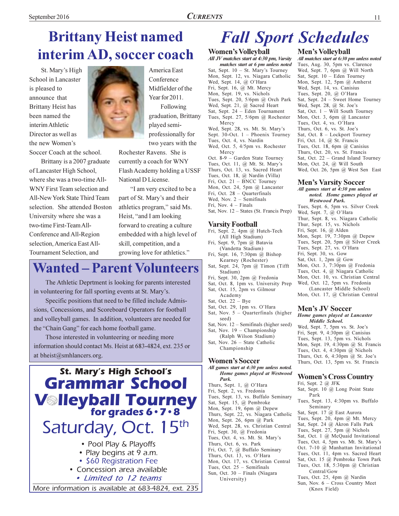# **Brittany Heist named** interim AD, soccer coach

St. Mary's High School in Lancaster is pleased to announce that **Brittany Heist has** been named the interim Athletic Director as well as the new Women's Soccer Coach at the school.

Brittany is a 2007 graduate

of Lancaster High School,

where she was a two-time All-

WNY First Team selection and

All-New York State Third Team

selection. She attended Boston

University where she was a

Conference and All-Region

selection, America East All-

Tournament Selection, and

two-time First-Team All-

America East Conference Midfielder of the Year for 2011. Following graduation, Brittany

played semiprofessionally for two years with the

Rochester Ravens. She is currently a coach for WNY Flash Academy holding a USSF National D License.

"I am very excited to be a part of St. Mary's and their athletics program," said Ms. Heist, "and I am looking" forward to creating a culture embedded with a high level of skill, competition, and a growing love for athletics."

### **Wanted - Parent Volunteers**

The Athletic Deprtment is looking for parents interested in volunteering for fall sporting events at St. Mary's.

Specific positions that need to be filled include Admissions, Concessions, and Scoreboard Operators for football and volleyball games. In addition, volunteers are needed for the "Chain Gang" for each home football game.

Those interested in volunteering or needing more information should contact Ms. Heist at 683-4824, ext. 235 or at bheist@smhlancers.org.

# **St. Mary's High School's Grammar School V**Ileyball Tourney Saturday, Oct. 15th • Pool Play & Playoffs

- Play begins at 9 a.m.
- \$60 Registration Fee
- Concession area available
	- Limited to 12 teams

More information is available at 683-4824, ext. 235

# **Fall Sport Schedules**

**Women's Volleyball** All JV matches start at 4:30 pm, Varsity matches start at 6 pm unless noted Sat, Sept. 10 - St. Mary's Tourney Mon, Sept. 12, vs. Niagara Catholic Wed, Sept. 14, @ O'Hara Fri, Sept. 16, @ Mt. Mercy Mon, Sept. 19, vs. Nichols Tues, Sept. 20, 5/6pm @ Orch Park Wed, Sept. 21, @ Sacred Heart Sat, Sept. 24 - Eden Tournament Tues, Sept. 27, 5/6pm @ Rochester Mercy Wed, Sept. 28, vs. Mt. St. Mary's Sept.  $30$ -Oct. 1 - Phoenix Tourney Tues, Oct. 4, vs. Nardin Wed, Oct. 5, 4/5pm vs. Rochester Mercy Oct. 8-9 - Garden State Tourney Tues, Oct. 11, @ Mt. St. Mary's Thurs, Oct. 13, vs. Sacred Heart Tues, Oct. 18, @ Nardin (Villa) Fri, Oct. 21 - BNCC Tourney

Mon, Oct. 24, 5pm @ Lancaster Fri, Oct. 28 - Quarterfinals Wed, Nov.  $2$  – Semifinals

Fri, Nov.  $4$  – Finals Sat, Nov. 12 - States (St. Francis Prep)

#### **Varsity Football**

- Fri, Sept. 2, 4pm @ Hutch-Tech (All High Stadium)
- Fri, Sept. 9, 7pm @ Batavia (Vandetta Stadium)
- Fri, Sept. 16, 7:30pm @ Bishop Kearney (Rochester)
- Sat, Sept. 24, 7pm @ Timon (Tifft Stadium)
- Fri, Sept. 30, 2pm @ Fredonia Sat, Oct. 8, 1pm vs. University Prep
- Sat, Oct. 15, 2pm vs Gilmour
- Academy
- Sat, Oct.  $22 Bye$
- Sat, Oct. 29, 1pm vs. O'Hara
- Sat, Nov.  $5 -$  Quarterfinals (higher seed)
- Sat, Nov.  $12$  Semifinals (higher seed) Sat, Nov. 19 - Championship
- (Ralph Wilson Stadium) Sat, Nov. 26 - State Catholic Championship

#### **Women's Soccer**

- All games start at 4:30 pm unless noted. Home games played at Westwood Park.
- Thurs, Sept. 1, @ O'Hara Fri, Sept. 2, vs. Fredonia Tues, Sept. 13, vs. Buffalo Seminary
- Sat, Sept. 15, @ Pembroke Mon, Sept. 19, 6pm @ Depew Thurs, Sept. 22, vs. Niagara Catholic Mon, Sept. 26, 6pm @ Park Wed, Sept. 28, vs. Christian Central
- Fri, Sept. 30, @ Fredonia
- Tues, Oct. 4, vs. Mt. St. Mary's
- Thurs, Oct. 6, vs. Park
- Fri, Oct. 7, @ Buffalo Seminary
- Thurs, Oct. 13, vs. O'Hara Mon, Oct. 17, vs. Christian Central
- Tues, Oct. 25 Semifinals
- Sun, Oct. 30 Finals (Niagara
	- University)

#### **Men's Volleyball**

All matches start at 6:30 pm unless noted Tues, Aug. 30, 5pm vs. Clarence Wed, Sept. 7, 6pm @ Will North Sat, Sept. 10 - Eden Tourney Mon, Sept. 12, 5pm @ Amherst Wed, Sept. 14, vs. Canisius Tues, Sept. 20, @ O'Hara Sat, Sept. 24 - Sweet Home Tourney Wed, Sept. 28, @ St. Joe's Sat, Oct. 1 - Will South Tourney Mon, Oct. 3, 6pm @ Lancaster Tues, Oct. 4, vs. O'Hara Thurs, Oct. 6, vs. St. Joe's Sat. Oct. 8 - Lockport Tourney Fri, Oct. 14, @ St. Francis Tues, Oct. 18, 6pm @ Canisius Thurs, Oct. 20, vs. St. Francis Sat, Oct. 22 - Grand Island Tourney Mon, Oct. 24, @ Will South Wed, Oct. 26, 5pm @ West Sen East

#### **Men's Varsity Soccer**

All games start at 4:30 pm unless noted. Home games played at **Westwood Park.** Tues, Sept. 6, 5pm vs. Silver Creek Wed, Sept. 7, @ O'Hara Thur, Sept. 8, vs. Niagara Catholic Thur, Sept. 15, vs. Nichols Fri, Sept. 16, @ Alden Mon, Sept. 19, 7:30pm @ Depew Tues, Sept. 20, 5pm @ Silver Creek Tues, Sept. 27, vs. O'Hara Fri, Sept. 30, vs. Gow Sat, Oct. 1, 2pm @ Gow Mon, Oct. 3, 7:30pm @ Fredonia Tues, Oct. 4, @ Niagara Catholic Mon, Oct. 10, vs. Christian Central Wed, Oct. 12, 5pm vs. Fredonia (Lancaster Middle School) Mon, Oct. 17, @ Christian Central

#### **Men's JV Soccer**

Home games played at Lancaster Middle School.

Wed, Sept. 7, 5pm vs. St. Joe's Fri, Sept. 9, 4:30pm @ Canisius Tues, Sept. 13, 5pm vs. Nichols Mon, Sept. 19, 4:30pm @ St. Francis Tues, Oct. 4, 4:30pm  $\omega$  Nichols Thurs, Oct. 6, 4:30pm  $\dddot{\omega}$  St. Joe's Thurs, Oct. 13, 5pm vs. St. Francis

#### **Women's Cross Country**

Fri, Sept. 2 @ JFK

Sat, Sept. 10 @ Long Point State Park Tues, Sept. 13, 4:30pm vs. Buffalo Seminary

Sat, Sept. 17 @ East Aurora Tues, Sept. 20, 4pm @ Mt. Mercy Sat, Sept. 24 @ Akron Falls Park Tues, Sept. 27, 5pm @ Nichols Sat, Oct. 1 @ McQuaid Invitational Tues, Oct. 4, 5pm vs. Mt. St. Mary's Oct. 7-10 @ Manhattan Invitational Tues, Oct. 11, 4pm vs. Sacred Heart Sat, Oct. 15 @ Pembroke Town Park Tues, Oct. 18, 5:30pm @ Christian Central/Gow Tues, Oct. 25, 4pm @ Nardin

Sun, Nov. 6 - Cross Country Meet (Knox Field)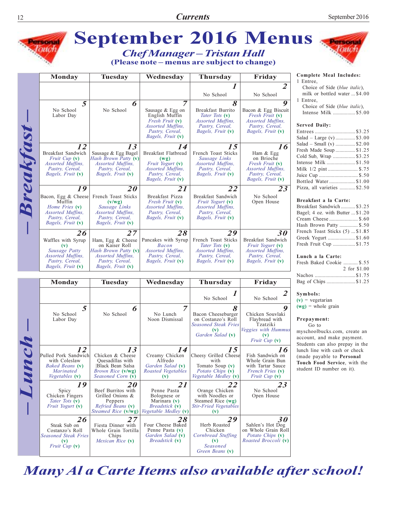

### Many Al a Carte Items also available after school!

 $(v)$ Seasoned Green Beans (v)

 $(v)$ <br>Fruit Cup  $(v)$ 

Mexican Rice (v)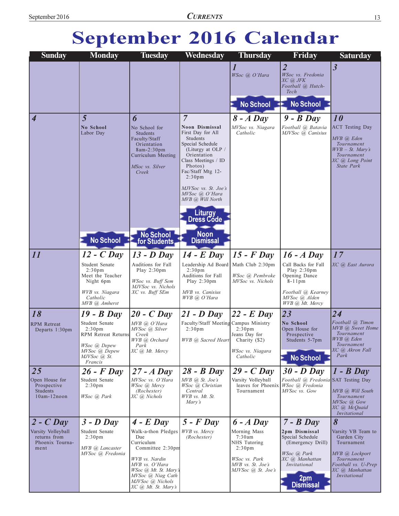# September 2016 Calendar

| <b>Sunday</b>                                                 | <b>Monday</b>                                                               | <b>Tuesday</b>                                                                                                                                                                                | Wednesday                                                                                                                                                                                              | Thursday                                                                                                                 | Friday                                                                                                           | <b>Saturday</b>                                                                                                                          |
|---------------------------------------------------------------|-----------------------------------------------------------------------------|-----------------------------------------------------------------------------------------------------------------------------------------------------------------------------------------------|--------------------------------------------------------------------------------------------------------------------------------------------------------------------------------------------------------|--------------------------------------------------------------------------------------------------------------------------|------------------------------------------------------------------------------------------------------------------|------------------------------------------------------------------------------------------------------------------------------------------|
|                                                               |                                                                             |                                                                                                                                                                                               |                                                                                                                                                                                                        | WSoc @ O'Hara                                                                                                            | $\overline{2}$<br>WSoc vs. Fredonia<br>XC @ JFK<br>Football @ Hutch-<br>Tech                                     | $\overline{\mathfrak{z}}$                                                                                                                |
|                                                               |                                                                             |                                                                                                                                                                                               |                                                                                                                                                                                                        | <b>No School</b>                                                                                                         | <b>No School</b>                                                                                                 |                                                                                                                                          |
| $\overline{\mathcal{A}}$                                      | 5<br><b>No School</b><br>Labor Day                                          | 6<br>No School for<br>Students<br>Faculty/Staff<br>Orientation<br>$8am-2:30pm$<br>Curriculum Meeting<br>MSoc vs. Silver<br>Creek                                                              | $\overline{7}$<br>Noon Dismissal<br>First Day for All<br>Students<br>Special Schedule<br>(Liturgy at OLP /<br>Orientation<br>Class Meetings / ID<br>Photos)<br>Fac/Staff Mtg 12-<br>2:30 <sub>pm</sub> | $8 - A$ Day<br>MVSoc vs. Niagara<br>Catholic                                                                             | $9 - B$ Day<br>Football @ Batavia<br>MJVSoc @ Canisius                                                           | 10<br><b>ACT Testing Day</b><br>MVB @ Eden<br>Tournament<br>$WVB - St.$ Mary's<br>Tournament<br>XC @ Long Point<br><b>State Park</b>     |
|                                                               | <b>No School</b>                                                            | <b>No School</b><br>for Students                                                                                                                                                              | MJVSoc vs. St. Joe's<br>MVSoc @ O'Hara<br>MVB @ Will North<br><b>Liturgy</b><br><b>Dress Códe</b><br><b>Noon</b><br><b>Dismissal</b>                                                                   |                                                                                                                          |                                                                                                                  |                                                                                                                                          |
| 11                                                            | $12$ - C Day                                                                | $13 - D$ Day                                                                                                                                                                                  | $14$ - E Day                                                                                                                                                                                           | $15$ - $F$ Day                                                                                                           | $16 - A$ Day                                                                                                     | 17                                                                                                                                       |
|                                                               | Student Senate<br>2:30 <sub>pm</sub><br>Meet the Teacher<br>Night 6pm       | Auditions for Fall<br>Play $2:30 \text{pm}$<br>WSoc vs. Buff Sem<br>MJVSoc vs. Nichols                                                                                                        | Leadership Ad Board<br>2:30 <sub>pm</sub><br>Auditions for Fall<br>Play 2:30pm                                                                                                                         | Math Club 2:30pm<br>WSoc @ Pembroke<br>MVSoc vs. Nichols                                                                 | Call Backs for Fall<br>Play $2:30 \text{pm}$<br>Opening Dance<br>$8-11$ pm                                       | XC @ East Aurora                                                                                                                         |
|                                                               | WVB vs. Niagara<br>Catholic<br>MVB @ Amherst                                | XC vs. Buff SEm                                                                                                                                                                               | MVB vs. Canisius<br>WVB @ O'Hara                                                                                                                                                                       |                                                                                                                          | Football @ Kearney<br>MVSoc @ Alden<br>WVB @ Mt. Mercy                                                           |                                                                                                                                          |
| 18                                                            | 19 - B Day                                                                  | $20 - C$ Day                                                                                                                                                                                  | $21 - D$ Day                                                                                                                                                                                           | $22$ - E Day                                                                                                             | 23                                                                                                               | $\overline{24}$                                                                                                                          |
| <b>RPM</b> Retreat<br>Departs 1:30pm                          | Student Senate<br>2:30 <sub>pm</sub><br>RPM Retreat Returns                 | MVB @ O'Hara<br>MVSoc @ Silver<br>Creek<br>WVB @ Orchard                                                                                                                                      | Faculty/Staff Meeting Campus Ministry<br>2:30 <sub>pm</sub><br>WVB @ Sacred Heart Charity (\$2)                                                                                                        | 2:30 <sub>pm</sub><br>Jeans Day for                                                                                      | No School<br>Open House for<br>Prospective<br>Students 5-7pm                                                     | Football @ Timon<br>MVB @ Sweet Home<br>Tournament<br>WVB @ Eden<br>Tournament                                                           |
|                                                               | WSoc (a) Depew<br>MVSoc @ Depew<br>MJVSoc @ St.<br>Francis                  | Park<br>XC @ Mt. Mercy                                                                                                                                                                        |                                                                                                                                                                                                        | WSoc vs. Niagara<br>Catholic                                                                                             | <b>No School</b>                                                                                                 | XC @ Akron Fall<br>Park                                                                                                                  |
| 25                                                            | $26$ - $F$ Day                                                              | $27 - A$ Day                                                                                                                                                                                  | $28 - B$ Day                                                                                                                                                                                           | $29 - C$ Day                                                                                                             | $30 - D$ Day                                                                                                     | $1 - B$ Day                                                                                                                              |
| Open House for<br>Prospective<br>Students<br>$10am-12noon$    | Student Senate<br>2:30 <sub>pm</sub><br>WSoc @ Park                         | MVSoc vs. O'Hara<br>WSoc (a) Mercy<br>(Rochester)<br>XC (@ Nichols                                                                                                                            | MVB @ St. Joe's<br>WSoc @ Christian<br>Central<br>WVB vs. Mt. St.<br>Mary's                                                                                                                            | Varsity Volleyball<br>leaves for Phoenix<br>Tournament                                                                   | Football @ Fredonia SAT Testing Day<br>WSoc @ Fredonia<br>MVSoc vs. Gow                                          | MVB @ Will South<br>Tournament<br>MVSoc @ Gow<br>XC @ McQuaid<br>Invitational                                                            |
| $2 - C$ Day                                                   | $3 - D$ Day                                                                 | $4$ - $E$ Day                                                                                                                                                                                 | $5$ - $F$ Day                                                                                                                                                                                          | $6 - A$ Day                                                                                                              | $7 - B$ Day                                                                                                      | 8                                                                                                                                        |
| Varsity Volleyball<br>returns from<br>Phoenix Tourna-<br>ment | Student Senate<br>2:30 <sub>pm</sub><br>MVB @ Lancaster<br>MVSoc @ Fredonia | Walk-a-thon Pledges WVB vs. Mercy<br>Due<br>Curriculum<br>Committee 2:30pm<br>WVB vs. Nardin<br>MVB vs. O'Hara<br>$WSoc$ ( <i>a</i> ) Mt. St. Mary's<br>MVSoc @ Niag Cath<br>MJVSoc @ Nichols | (Rochester)                                                                                                                                                                                            | Morning Mass<br>7:30am<br>NHS Tutoring<br>2:30 <sub>pm</sub><br>WSoc vs. Park<br>MVB vs. St. Joe's<br>MJVSoc @ St. Joe's | 2pm Dismissal<br>Special Schedule<br>(Emergency Drill)<br>WSoc (a) Park<br>XC @ Manhattan<br>Invitational<br>2pm | Varsity VB Team to<br>Garden City<br>Tournament<br>MVB @ Lockport<br>Tournament<br>Football vs. U-Prep<br>XC @ Manhattan<br>Invitational |
|                                                               |                                                                             | XC @ Mt. St. Mary's                                                                                                                                                                           |                                                                                                                                                                                                        |                                                                                                                          | <b>Dismissal</b>                                                                                                 |                                                                                                                                          |